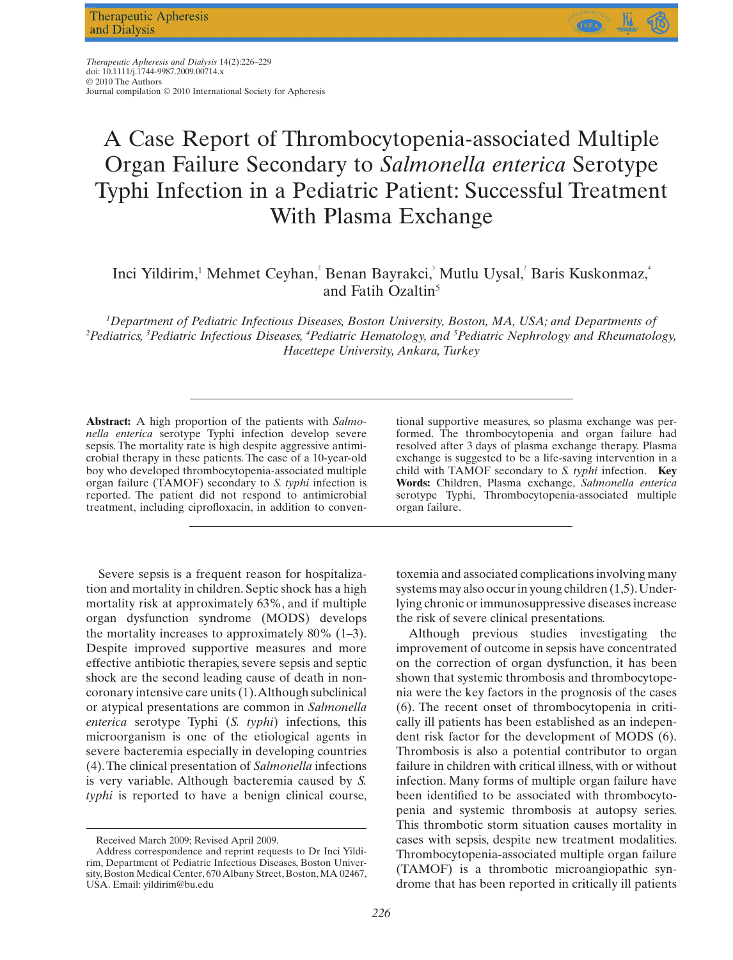

# A Case Report of Thrombocytopenia-associated Multiple Organ Failure Secondary to *Salmonella enterica* Serotype Typhi Infection in a Pediatric Patient: Successful Treatment With Plasma Exchange

Inci Yildirim,<sup>1</sup> Mehmet Ceyhan,<sup>2</sup> Benan Bayrakci,<sup>3</sup> Mutlu Uysal,<sup>2</sup> Baris Kuskonmaz, and Fatih Ozaltin $5$ 

*1 Department of Pediatric Infectious Diseases, Boston University, Boston, MA, USA; and Departments of 2 Pediatrics, <sup>3</sup> Pediatric Infectious Diseases, <sup>4</sup> Pediatric Hematology, and <sup>5</sup> Pediatric Nephrology and Rheumatology, Hacettepe University, Ankara, Turkey*

**Abstract:** A high proportion of the patients with *Salmonella enterica* serotype Typhi infection develop severe sepsis. The mortality rate is high despite aggressive antimicrobial therapy in these patients. The case of a 10-year-old boy who developed thrombocytopenia-associated multiple organ failure (TAMOF) secondary to *S. typhi* infection is reported. The patient did not respond to antimicrobial treatment, including ciprofloxacin, in addition to conven-

Severe sepsis is a frequent reason for hospitalization and mortality in children. Septic shock has a high mortality risk at approximately 63%, and if multiple organ dysfunction syndrome (MODS) develops the mortality increases to approximately 80% (1–3). Despite improved supportive measures and more effective antibiotic therapies, severe sepsis and septic shock are the second leading cause of death in noncoronary intensive care units (1).Although subclinical or atypical presentations are common in *Salmonella enterica* serotype Typhi (*S. typhi*) infections, this microorganism is one of the etiological agents in severe bacteremia especially in developing countries (4).The clinical presentation of *Salmonella* infections is very variable. Although bacteremia caused by *S. typhi* is reported to have a benign clinical course,

tional supportive measures, so plasma exchange was performed. The thrombocytopenia and organ failure had resolved after 3 days of plasma exchange therapy. Plasma exchange is suggested to be a life-saving intervention in a child with TAMOF secondary to *S. typhi* infection. **Key Words:** Children, Plasma exchange, *Salmonella enterica* serotype Typhi, Thrombocytopenia-associated multiple organ failure.

toxemia and associated complications involving many systems may also occur in young children (1,5). Underlying chronic or immunosuppressive diseases increase the risk of severe clinical presentations.

Although previous studies investigating the improvement of outcome in sepsis have concentrated on the correction of organ dysfunction, it has been shown that systemic thrombosis and thrombocytopenia were the key factors in the prognosis of the cases (6). The recent onset of thrombocytopenia in critically ill patients has been established as an independent risk factor for the development of MODS (6). Thrombosis is also a potential contributor to organ failure in children with critical illness, with or without infection. Many forms of multiple organ failure have been identified to be associated with thrombocytopenia and systemic thrombosis at autopsy series. This thrombotic storm situation causes mortality in cases with sepsis, despite new treatment modalities. Thrombocytopenia-associated multiple organ failure (TAMOF) is a thrombotic microangiopathic syndrome that has been reported in critically ill patients

Received March 2009; Revised April 2009.

Address correspondence and reprint requests to Dr Inci Yildirim, Department of Pediatric Infectious Diseases, Boston University, Boston Medical Center, 670 Albany Street, Boston, MA 02467, USA. Email: [yildirim@bu.edu](mailto:yildirim@bu.edu)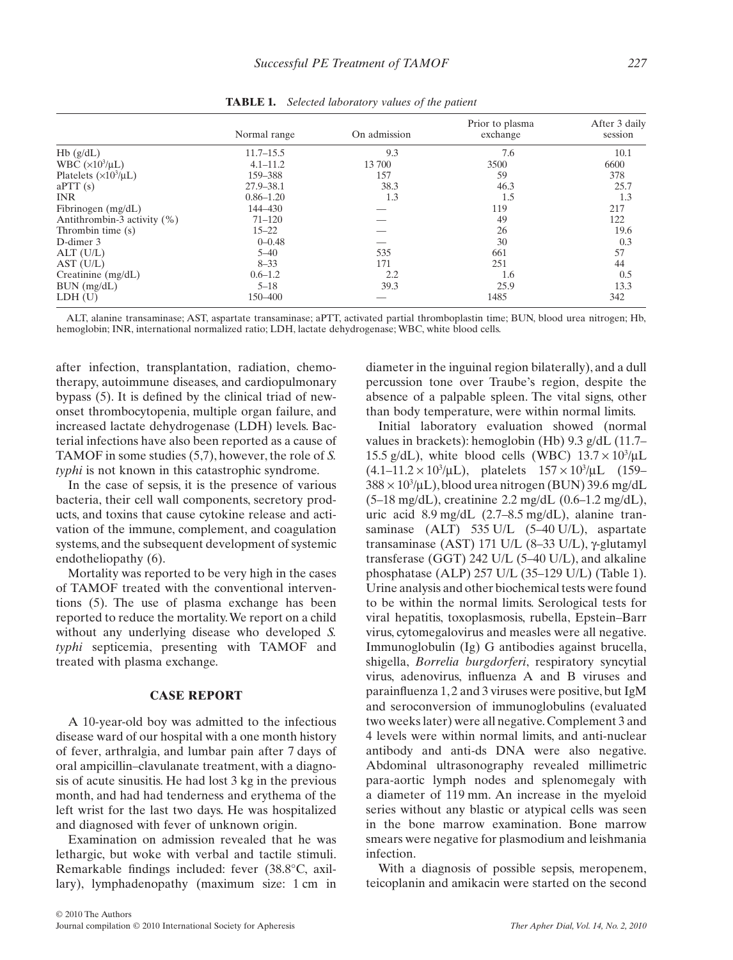|                                 | Normal range  | On admission | Prior to plasma<br>exchange | After 3 daily<br>session |
|---------------------------------|---------------|--------------|-----------------------------|--------------------------|
|                                 |               |              |                             |                          |
| Hb(g/dL)                        | $11.7 - 15.5$ | 9.3          | 7.6                         | 10.1                     |
| WBC $(\times 10^3/\mu L)$       | $4.1 - 11.2$  | 13 700       | 3500                        | 6600                     |
| Platelets $(\times 10^3/\mu L)$ | 159-388       | 157          | 59                          | 378                      |
| aPTT(s)                         | 27.9-38.1     | 38.3         | 46.3                        | 25.7                     |
| <b>INR</b>                      | $0.86 - 1.20$ | 1.3          | 1.5                         | 1.3                      |
| Fibrinogen (mg/dL)              | 144-430       |              | 119                         | 217                      |
| Antithrombin-3 activity (%)     | $71 - 120$    |              | 49                          | 122                      |
| Thrombin time (s)               | $15 - 22$     |              | 26                          | 19.6                     |
| D-dimer 3                       | $0 - 0.48$    |              | 30                          | 0.3                      |
| ALT (U/L)                       | $5 - 40$      | 535          | 661                         | 57                       |
| AST (U/L)                       | $8 - 33$      | 171          | 251                         | 44                       |
| Creatinine $(mg/dL)$            | $0.6 - 1.2$   | 2.2          | 1.6                         | 0.5                      |
| $BUN$ (mg/dL)                   | $5 - 18$      | 39.3         | 25.9                        | 13.3                     |
| LDH(U)                          | 150-400       |              | 1485                        | 342                      |

**TABLE 1.** *Selected laboratory values of the patient*

ALT, alanine transaminase; AST, aspartate transaminase; aPTT, activated partial thromboplastin time; BUN, blood urea nitrogen; Hb, hemoglobin; INR, international normalized ratio; LDH, lactate dehydrogenase; WBC, white blood cells.

after infection, transplantation, radiation, chemotherapy, autoimmune diseases, and cardiopulmonary bypass (5). It is defined by the clinical triad of newonset thrombocytopenia, multiple organ failure, and increased lactate dehydrogenase (LDH) levels. Bacterial infections have also been reported as a cause of TAMOF in some studies (5,7), however, the role of *S. typhi* is not known in this catastrophic syndrome.

In the case of sepsis, it is the presence of various bacteria, their cell wall components, secretory products, and toxins that cause cytokine release and activation of the immune, complement, and coagulation systems, and the subsequent development of systemic endotheliopathy (6).

Mortality was reported to be very high in the cases of TAMOF treated with the conventional interventions (5). The use of plasma exchange has been reported to reduce the mortality.We report on a child without any underlying disease who developed *S. typhi* septicemia, presenting with TAMOF and treated with plasma exchange.

## **CASE REPORT**

A 10-year-old boy was admitted to the infectious disease ward of our hospital with a one month history of fever, arthralgia, and lumbar pain after 7 days of oral ampicillin–clavulanate treatment, with a diagnosis of acute sinusitis. He had lost 3 kg in the previous month, and had had tenderness and erythema of the left wrist for the last two days. He was hospitalized and diagnosed with fever of unknown origin.

Examination on admission revealed that he was lethargic, but woke with verbal and tactile stimuli. Remarkable findings included: fever (38.8°C, axillary), lymphadenopathy (maximum size: 1 cm in

diameter in the inguinal region bilaterally), and a dull percussion tone over Traube's region, despite the absence of a palpable spleen. The vital signs, other than body temperature, were within normal limits.

Initial laboratory evaluation showed (normal values in brackets): hemoglobin (Hb) 9.3 g/dL (11.7– 15.5 g/dL), white blood cells (WBC)  $13.7 \times 10^3/\mu$ L  $(4.1-11.2 \times 10^3/\mu L)$ , platelets  $157 \times 10^3/\mu L$  (159–  $388\times10^3$ /µL), blood urea nitrogen (BUN) 39.6 mg/dL (5–18 mg/dL), creatinine 2.2 mg/dL (0.6–1.2 mg/dL), uric acid 8.9 mg/dL (2.7–8.5 mg/dL), alanine transaminase (ALT) 535 U/L (5–40 U/L), aspartate transaminase (AST) 171 U/L (8-33 U/L),  $\gamma$ -glutamyl transferase (GGT) 242 U/L (5–40 U/L), and alkaline phosphatase (ALP) 257 U/L (35–129 U/L) (Table 1). Urine analysis and other biochemical tests were found to be within the normal limits. Serological tests for viral hepatitis, toxoplasmosis, rubella, Epstein–Barr virus, cytomegalovirus and measles were all negative. Immunoglobulin (Ig) G antibodies against brucella, shigella, *Borrelia burgdorferi*, respiratory syncytial virus, adenovirus, influenza A and B viruses and parainfluenza 1, 2 and 3 viruses were positive, but IgM and seroconversion of immunoglobulins (evaluated two weeks later) were all negative. Complement 3 and 4 levels were within normal limits, and anti-nuclear antibody and anti-ds DNA were also negative. Abdominal ultrasonography revealed millimetric para-aortic lymph nodes and splenomegaly with a diameter of 119 mm. An increase in the myeloid series without any blastic or atypical cells was seen in the bone marrow examination. Bone marrow smears were negative for plasmodium and leishmania infection.

With a diagnosis of possible sepsis, meropenem, teicoplanin and amikacin were started on the second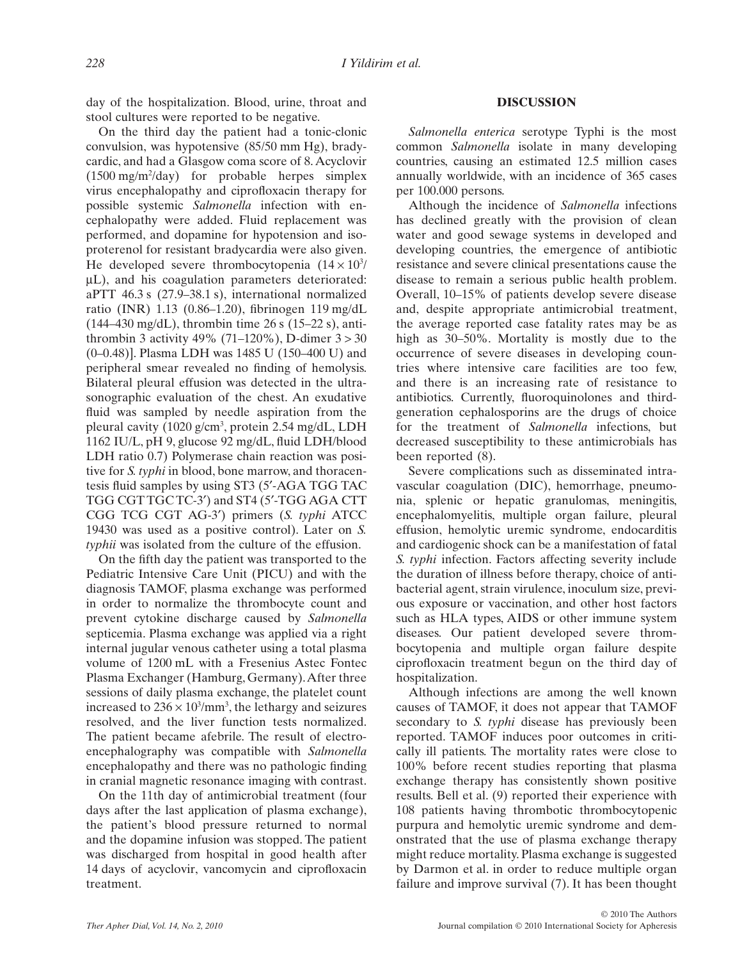day of the hospitalization. Blood, urine, throat and stool cultures were reported to be negative.

On the third day the patient had a tonic-clonic convulsion, was hypotensive (85/50 mm Hg), bradycardic, and had a Glasgow coma score of 8.Acyclovir (1500 mg/m2 /day) for probable herpes simplex virus encephalopathy and ciprofloxacin therapy for possible systemic *Salmonella* infection with encephalopathy were added. Fluid replacement was performed, and dopamine for hypotension and isoproterenol for resistant bradycardia were also given. He developed severe thrombocytopenia  $(14 \times 10^3)$  $\mu$ L), and his coagulation parameters deteriorated: aPTT 46.3 s (27.9–38.1 s), international normalized ratio (INR) 1.13 (0.86–1.20), fibrinogen 119 mg/dL (144–430 mg/dL), thrombin time 26 s (15–22 s), antithrombin 3 activity 49% (71–120%), D-dimer  $3 > 30$ (0–0.48)]. Plasma LDH was 1485 U (150–400 U) and peripheral smear revealed no finding of hemolysis. Bilateral pleural effusion was detected in the ultrasonographic evaluation of the chest. An exudative fluid was sampled by needle aspiration from the pleural cavity (1020 g/cm<sup>3</sup>, protein 2.54 mg/dL, LDH 1162 IU/L, pH 9, glucose 92 mg/dL, fluid LDH/blood LDH ratio 0.7) Polymerase chain reaction was positive for *S. typhi* in blood, bone marrow, and thoracentesis fluid samples by using ST3 (5′-AGA TGG TAC TGG CGT TGC TC-3′) and ST4 (5′-TGG AGA CTT CGG TCG CGT AG-3′) primers (*S. typhi* ATCC 19430 was used as a positive control). Later on *S. typhii* was isolated from the culture of the effusion.

On the fifth day the patient was transported to the Pediatric Intensive Care Unit (PICU) and with the diagnosis TAMOF, plasma exchange was performed in order to normalize the thrombocyte count and prevent cytokine discharge caused by *Salmonella* septicemia. Plasma exchange was applied via a right internal jugular venous catheter using a total plasma volume of 1200 mL with a Fresenius Astec Fontec Plasma Exchanger (Hamburg, Germany).After three sessions of daily plasma exchange, the platelet count increased to  $236 \times 10^3/\text{mm}^3$ , the lethargy and seizures resolved, and the liver function tests normalized. The patient became afebrile. The result of electroencephalography was compatible with *Salmonella* encephalopathy and there was no pathologic finding in cranial magnetic resonance imaging with contrast.

On the 11th day of antimicrobial treatment (four days after the last application of plasma exchange), the patient's blood pressure returned to normal and the dopamine infusion was stopped. The patient was discharged from hospital in good health after 14 days of acyclovir, vancomycin and ciprofloxacin treatment.

# **DISCUSSION**

*Salmonella enterica* serotype Typhi is the most common *Salmonella* isolate in many developing countries, causing an estimated 12.5 million cases annually worldwide, with an incidence of 365 cases per 100.000 persons.

Although the incidence of *Salmonella* infections has declined greatly with the provision of clean water and good sewage systems in developed and developing countries, the emergence of antibiotic resistance and severe clinical presentations cause the disease to remain a serious public health problem. Overall, 10–15% of patients develop severe disease and, despite appropriate antimicrobial treatment, the average reported case fatality rates may be as high as 30–50%. Mortality is mostly due to the occurrence of severe diseases in developing countries where intensive care facilities are too few, and there is an increasing rate of resistance to antibiotics. Currently, fluoroquinolones and thirdgeneration cephalosporins are the drugs of choice for the treatment of *Salmonella* infections, but decreased susceptibility to these antimicrobials has been reported (8).

Severe complications such as disseminated intravascular coagulation (DIC), hemorrhage, pneumonia, splenic or hepatic granulomas, meningitis, encephalomyelitis, multiple organ failure, pleural effusion, hemolytic uremic syndrome, endocarditis and cardiogenic shock can be a manifestation of fatal *S. typhi* infection. Factors affecting severity include the duration of illness before therapy, choice of antibacterial agent, strain virulence, inoculum size, previous exposure or vaccination, and other host factors such as HLA types, AIDS or other immune system diseases. Our patient developed severe thrombocytopenia and multiple organ failure despite ciprofloxacin treatment begun on the third day of hospitalization.

Although infections are among the well known causes of TAMOF, it does not appear that TAMOF secondary to *S. typhi* disease has previously been reported. TAMOF induces poor outcomes in critically ill patients. The mortality rates were close to 100% before recent studies reporting that plasma exchange therapy has consistently shown positive results. Bell et al. (9) reported their experience with 108 patients having thrombotic thrombocytopenic purpura and hemolytic uremic syndrome and demonstrated that the use of plasma exchange therapy might reduce mortality. Plasma exchange is suggested by Darmon et al. in order to reduce multiple organ failure and improve survival (7). It has been thought